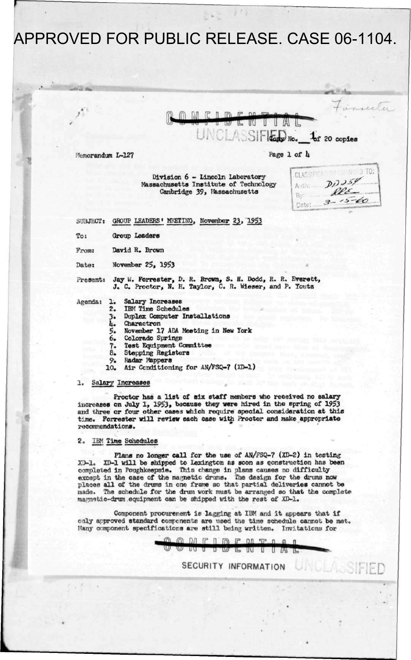m M  $R \cap R$  $\Box$ ־נטד Ŀ VU U  $\int$   $\int$   $\int$  **F**  $\int$  **Ic** 20 copies

Memorandum L-127

**«'** 

**Page 1 of U** 

**Division 6 - Lincoln Laboratory Massachusetts Institute of Technology Cambridge 39, Massachusetts** 

| <b>CLASSIFIC</b> |                 |
|------------------|-----------------|
| Auth:            | D1359           |
| By:              | Ree<br>$5 - 60$ |
| Date             |                 |
|                  |                 |

 $\mathbf{r} \otimes \mathbf{r}$ 

**7-**

**3U3JECT: GROUP LEADERS' MEETING, November 23\_, 1953** 

**To: Group Leaders** 

**From: David R. Brown** 

**Date: November 25, 1953** 

**Present: Jay U. Forrester, D. R. Brown, S. H. Dodd, R. R. Everett, J. C. Proctor, N. H. Taylor, C. R. Wieser, and P. Touts** 

- **Agenda: 1. Salary Increases** 
	- **2. IBM Time Schedules**
	- **3. Duplex Computer Installations**
	- **U. Charactron**
	- **5. November 17 ADA Meeting in New Tork**
	- **6. Colorado Springe**
	- **7. Test Equipment Commifiee**
	- **8. Stepping Registers**
	-
	- **9'. Radar Mappers**  Air Conditioning for AN/FSQ-7 (XD-1)

### **1. Salary Increases**

**Proctor has a list of six staff members who received no salary increases on July 1, 1953, because they were hired in the spring of 1953 and three or four other case3 which require special consideration at this t:jne. Forrester will review each case with Proctor and make appropriate recommendations.** 

#### **2., IBM Time Schedules**

**Plans no longer call for the use of AN/FSQ-7 (XD-2) in testing XJ-1. XD-1 will be shipped to Lexington as soon as construction has been**  completed in Poughkeepsie. This change in plans causes no difficulty except in the case of the magnetic drums. The design for the drums now **placen all of the drums in one frame so that partial deliveries cannot be made. The schedule for the drum work must be arranged so that the complete magnetic-drum equipment can be shipped with the rest of XD-1.** 

**Component procurement is lagging at IBM and it appears that if only approved standard components are used the time schedule cannot be met. Many component specifications are still being written. Invitations for** 

0 0 N F I D E N T I A L

**SECURITY INFORMATION UNCLASSED**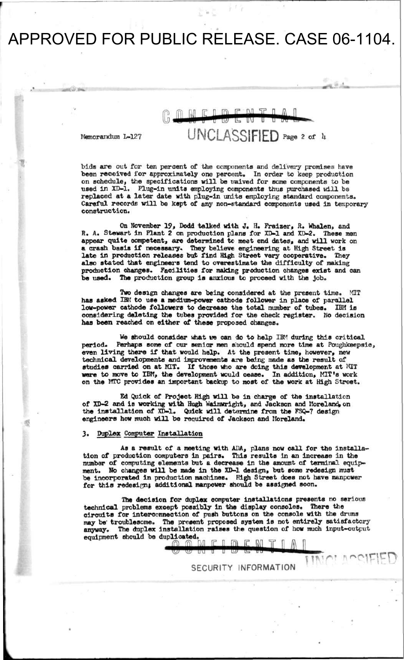# **CLOFMTL DENT** Ŧ **Memorandum L-127 UNCLASSIFIED Pa6 e 2 \*** *<sup>h</sup>*

 $-1.5 +$ 

**bids are out for ten percent of the components and delivery promises have been received for approximately one percent. In order to keep production on schedule, the specifications will be t/aived for some components to be used in XD-1. Plug-in units employing components thus purchased will be replaced at a later date with plug-in units employing standard components.**  Careful records will be kept of any non-standard components used in temporary **construction.** 

**On November 19, Dodd talked with J. H. Fraizer, R. Whalen, and R. A. Stewart in Plant 2 on production plans for XD-1 and XD-2. These men appear quite competent, are determined tc meet end dates, and will work on a crash basis if necessary-. They believe engineering at High Street is late in production releases but find High Street very cooperative. They also stated that engineers tend to overestimate the difficulty of making production changes. Facilities for making production changes exist and can be used. The production group is anxious to proceed with the Job.** 

**Two design changes are being considered at the present time. MIT has asked IBM to use a medium-power cathode follower in place of parallel low-power cathode followers to decrease the total number of tubes. IBM is considering deleting the tubes provided for the check register. No decision has been reached on either of these proposed changes.** 

**We should consider what t» can do to help IBM during this critical period. Perhaps some of our senior men siould spend more time at Poughkeepsie, even living there if that would help. At the present time, however, new technical developments and improvements are being made as the result of studies carried on at MIT. If those who are doing this development at MIT were to move to IBM, the development would cease. In addition, MIT's work on the MTC provides an important backup to most of the work at High Street.** 

**Ed Quick of Project High will be in charge of the installation of XD-2 and is working with Hugh Wainvright, and Jackson and Moreland,on the installation of XD-1. Quick will determine from the FSQ-7 design engineers how much will be required of Jackson and Moreland.** 

#### **3. Duplex Computer Installation**

**As a result of a meeting with ADA, plans now call for the installation of production computers in pairs. This results In an increase in the number of computing elements but a decrease in the amount of terminal equipment. No changes will be made in the XD-1 design, but some redesign must be incorporated in production machines. High Street does not have manpower for this redesign} additional manpower should be assigned soon.** 

**The decision for duplex computer installations presents no serious technical problems except possibly in the display consoles. There the circuits for interconnection of push buttons on the console with the drums may be' troublesome. The present proposed system is not entirely satisfactory anyway. The duplex installation raises the question of how much input-output equipment should be duplicated.**<br>  $\begin{array}{c}\n\bullet \quad \text{if } \quad \text{if } \quad \text{if } \quad \text{if } \quad \text{if } \quad \text{if } \quad \text{if } \quad \text{if } \quad \text{if } \quad \text{if } \quad \text{if } \quad \text{if } \quad \text{if } \quad \text{if } \quad \text{if } \quad \text{if } \quad \text{if } \quad \text{if } \quad \text{if } \quad \text{if } \quad \text{if } \quad \text{if } \quad \text{if } \quad \text{if } \quad \text{if } \$ 

**SECURITY INFORMATION**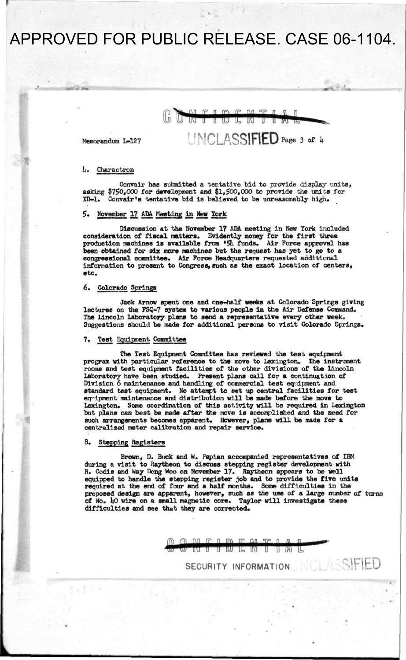#### m  $\sqrt{2}$  $nn$  $57$  $\mathsf{r}$ TUJ IL. W Π ╥  $\overline{I}$ **NCLASSIFIED** Page 3 of 4

Memorandum L-127

#### It. Charactron

Convair has submitted a tentative bid to provide display units, asking \$750,000 for development and \$1,500,000 to provide the units for XD-1. Convair's tentative bid is believed to be unreasonably high.

### 5. November 17 ADA Meeting in New York

Discussion at the November 17 ADA meeting in New York included consideration of fiscal natters. Evidently money for the first three production machines is available from *'\$h* funds. Air Force approval has been obtained for six more machines but the request has yet to go to a congressional committee. Air Force Headquarters requested additional information to present to Congress, such as the exact location of centers, etc.

### 6. Colorado Springs

Jack Arnov spent one and one-half weeks at Colorado Springs giving lectures on the FSQ-7 system to various people in the Air Defense Command. The Lincoln Laboratory plans to send a representative every other week. Suggestions should be made for additional persons to visit Colorado Springs.

# **7. Test Equipment Committee**

The Test Equipment Committee has reviewed the test equipment program with particular reference to the move to Lexington. The instrument rooms and test equipment facilities of the other divisions of the Lincoln Laboratory have been studied. Present plans call for a continuation of Division 6 maintenance and handling of commercial test equipment and standard test equipment. No attempt to set up central facilities for test equipment maintenance and distribution will be made before the move to Lexington. Some coordination of this activity will be required in Lexington but plans can best be made after the move is accomplished and the need for such arrangements becomes apparent. However, plans will be made for a centralised meter calibration and repair service.

#### 8. Stepping Registers

Brown, D. Buck and W. Paplan accompanied representatives of IBM during a visit to Raytheon to discuss stepping register development with R. Codis and Way Dong Woo on November 17. Raytheon appears to be well equipped to handle the stepping register job and to provide the five units required at the end of four and a half months. Some difficulties in the proposed design are apparent, however, such as the use of a large number of turns of No. 40 wire on a small magnetic core. Taylor will investigate these difficulties and see that they are corrected.

> $\overline{M}$   $\overline{P}$   $\overline{R}$   $\overline{R}$   $\overline{M}$   $\overline{S}$  $\overline{P}$ Ţ Τ UL W Τ T A L

> > **SECURITY INFORMATION**